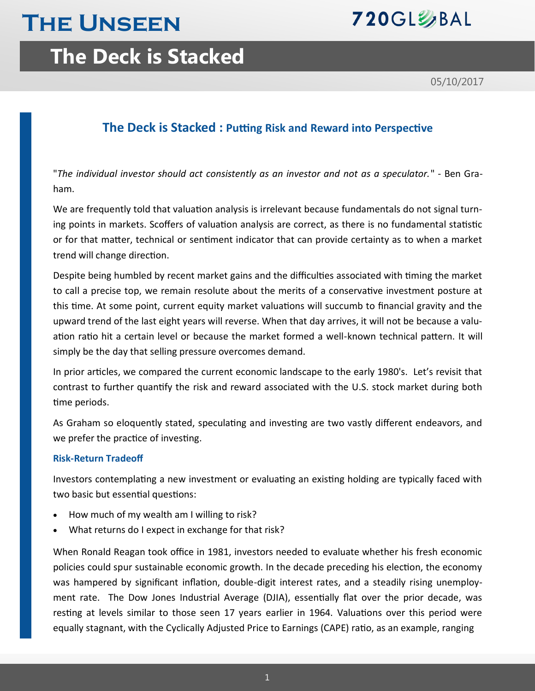# **The Unseen**



## **The Deck is Stacked**

05/10/2017

## **The Deck is Stacked : Putting Risk and Reward into Perspective**

"*The individual investor should act consistently as an investor and not as a speculator.*" - Ben Graham.

We are frequently told that valuation analysis is irrelevant because fundamentals do not signal turning points in markets. Scoffers of valuation analysis are correct, as there is no fundamental statistic or for that matter, technical or sentiment indicator that can provide certainty as to when a market trend will change direction.

Despite being humbled by recent market gains and the difficulties associated with timing the market to call a precise top, we remain resolute about the merits of a conservative investment posture at this time. At some point, current equity market valuations will succumb to financial gravity and the upward trend of the last eight years will reverse. When that day arrives, it will not be because a valuation ratio hit a certain level or because the market formed a well-known technical pattern. It will simply be the day that selling pressure overcomes demand.

In prior articles, we compared the current economic landscape to the early 1980's. Let's revisit that contrast to further quantify the risk and reward associated with the U.S. stock market during both time periods.

As Graham so eloquently stated, speculating and investing are two vastly different endeavors, and we prefer the practice of investing.

### **Risk-Return Tradeoff**

Investors contemplating a new investment or evaluating an existing holding are typically faced with two basic but essential questions:

- How much of my wealth am I willing to risk?
- What returns do I expect in exchange for that risk?

When Ronald Reagan took office in 1981, investors needed to evaluate whether his fresh economic policies could spur sustainable economic growth. In the decade preceding his election, the economy was hampered by significant inflation, double-digit interest rates, and a steadily rising unemployment rate. The Dow Jones Industrial Average (DJIA), essentially flat over the prior decade, was resting at levels similar to those seen 17 years earlier in 1964. Valuations over this period were equally stagnant, with the Cyclically Adjusted Price to Earnings (CAPE) ratio, as an example, ranging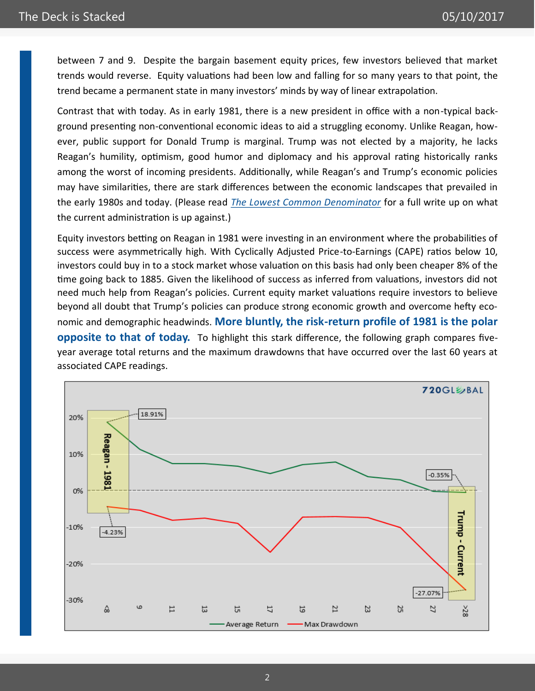between 7 and 9. Despite the bargain basement equity prices, few investors believed that market trends would reverse. Equity valuations had been low and falling for so many years to that point, the trend became a permanent state in many investors' minds by way of linear extrapolation.

Contrast that with today. As in early 1981, there is a new president in office with a non-typical background presenting non-conventional economic ideas to aid a struggling economy. Unlike Reagan, however, public support for Donald Trump is marginal. Trump was not elected by a majority, he lacks Reagan's humility, optimism, good humor and diplomacy and his approval rating historically ranks among the worst of incoming presidents. Additionally, while Reagan's and Trump's economic policies may have similarities, there are stark differences between the economic landscapes that prevailed in the early 1980s and today. (Please read *[The Lowest Common Denominator](http://nebula.wsimg.com/8790102c0f4f1b90be233e5c9f86f80f?AccessKeyId=372BE07F51497C9CD088&disposition=0&alloworigin=1)* for a full write up on what the current administration is up against.)

Equity investors betting on Reagan in 1981 were investing in an environment where the probabilities of success were asymmetrically high. With Cyclically Adjusted Price-to-Earnings (CAPE) ratios below 10, investors could buy in to a stock market whose valuation on this basis had only been cheaper 8% of the time going back to 1885. Given the likelihood of success as inferred from valuations, investors did not need much help from Reagan's policies. Current equity market valuations require investors to believe beyond all doubt that Trump's policies can produce strong economic growth and overcome hefty economic and demographic headwinds. **More bluntly, the risk-return profile of 1981 is the polar opposite to that of today.** To highlight this stark difference, the following graph compares fiveyear average total returns and the maximum drawdowns that have occurred over the last 60 years at associated CAPE readings.

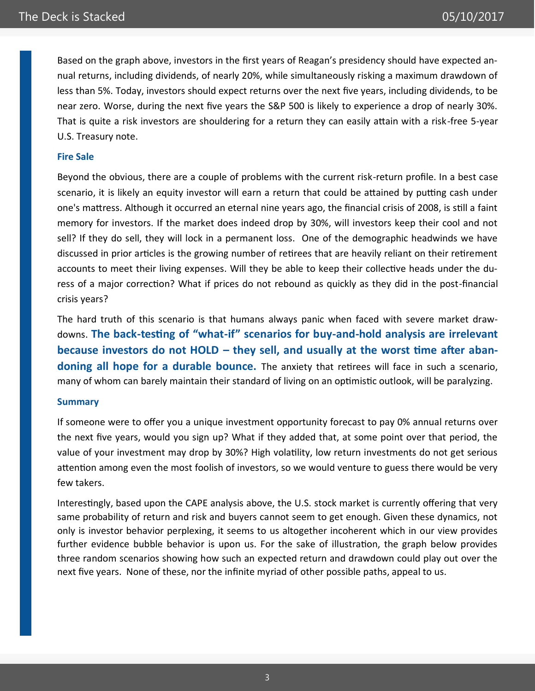Based on the graph above, investors in the first years of Reagan's presidency should have expected annual returns, including dividends, of nearly 20%, while simultaneously risking a maximum drawdown of less than 5%. Today, investors should expect returns over the next five years, including dividends, to be near zero. Worse, during the next five years the S&P 500 is likely to experience a drop of nearly 30%. That is quite a risk investors are shouldering for a return they can easily attain with a risk-free 5-year U.S. Treasury note.

### **Fire Sale**

Beyond the obvious, there are a couple of problems with the current risk-return profile. In a best case scenario, it is likely an equity investor will earn a return that could be attained by putting cash under one's mattress. Although it occurred an eternal nine years ago, the financial crisis of 2008, is still a faint memory for investors. If the market does indeed drop by 30%, will investors keep their cool and not sell? If they do sell, they will lock in a permanent loss. One of the demographic headwinds we have discussed in prior articles is the growing number of retirees that are heavily reliant on their retirement accounts to meet their living expenses. Will they be able to keep their collective heads under the duress of a major correction? What if prices do not rebound as quickly as they did in the post-financial crisis years?

The hard truth of this scenario is that humans always panic when faced with severe market drawdowns. **The back-testing of "what-if" scenarios for buy-and-hold analysis are irrelevant because investors do not HOLD – they sell, and usually at the worst time after abandoning all hope for a durable bounce.** The anxiety that retirees will face in such a scenario, many of whom can barely maintain their standard of living on an optimistic outlook, will be paralyzing.

#### **Summary**

If someone were to offer you a unique investment opportunity forecast to pay 0% annual returns over the next five years, would you sign up? What if they added that, at some point over that period, the value of your investment may drop by 30%? High volatility, low return investments do not get serious attention among even the most foolish of investors, so we would venture to guess there would be very few takers.

Interestingly, based upon the CAPE analysis above, the U.S. stock market is currently offering that very same probability of return and risk and buyers cannot seem to get enough. Given these dynamics, not only is investor behavior perplexing, it seems to us altogether incoherent which in our view provides further evidence bubble behavior is upon us. For the sake of illustration, the graph below provides three random scenarios showing how such an expected return and drawdown could play out over the next five years. None of these, nor the infinite myriad of other possible paths, appeal to us.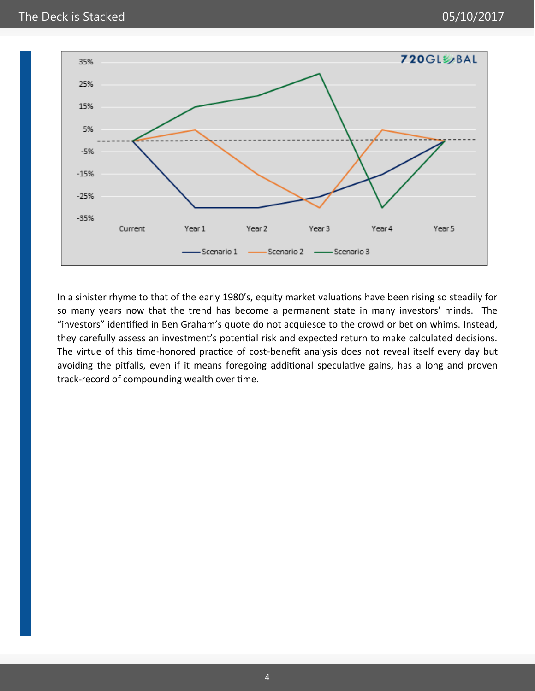

In a sinister rhyme to that of the early 1980's, equity market valuations have been rising so steadily for so many years now that the trend has become a permanent state in many investors' minds. The "investors" identified in Ben Graham's quote do not acquiesce to the crowd or bet on whims. Instead, they carefully assess an investment's potential risk and expected return to make calculated decisions. The virtue of this time-honored practice of cost-benefit analysis does not reveal itself every day but avoiding the pitfalls, even if it means foregoing additional speculative gains, has a long and proven track-record of compounding wealth over time.